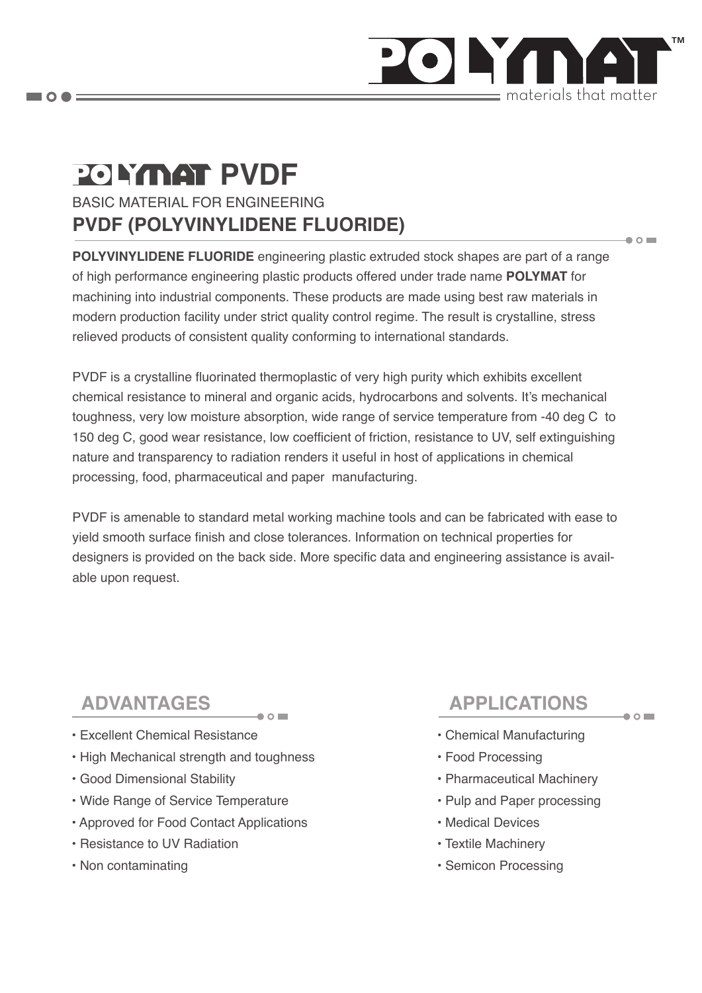

 $\bullet$  0  $\blacksquare$ 

 $\bullet$  O

# BASIC MATERIAL FOR ENGINEERING **PVDF (POLYVINYLIDENE FLUORIDE) POLYMAT PVDF**

**POLYVINYLIDENE FLUORIDE** engineering plastic extruded stock shapes are part of a range of high performance engineering plastic products offered under trade name **POLYMAT** for machining into industrial components. These products are made using best raw materials in modern production facility under strict quality control regime. The result is crystalline, stress relieved products of consistent quality conforming to international standards.

PVDF is a crystalline fluorinated thermoplastic of very high purity which exhibits excellent chemical resistance to mineral and organic acids, hydrocarbons and solvents. It's mechanical toughness, very low moisture absorption, wide range of service temperature from -40 deg C to 150 deg C, good wear resistance, low coefficient of friction, resistance to UV, self extinguishing nature and transparency to radiation renders it useful in host of applications in chemical processing, food, pharmaceutical and paper manufacturing.

PVDF is amenable to standard metal working machine tools and can be fabricated with ease to yield smooth surface finish and close tolerances. Information on technical properties for designers is provided on the back side. More specific data and engineering assistance is available upon request.

# **ADVANTAGES**

- Excellent Chemical Resistance
- High Mechanical strength and toughness

 $\bullet$  0

- Good Dimensional Stability
- Wide Range of Service Temperature
- Approved for Food Contact Applications
- Resistance to UV Radiation
- Non contaminating

# **APPLICATIONS**

- Chemical Manufacturing
- Food Processing
- Pharmaceutical Machinery
- Pulp and Paper processing
- Medical Devices
- Textile Machinery
- Semicon Processing

 $\blacksquare$   $\bigcirc$   $\spadesuit$   $\equiv$